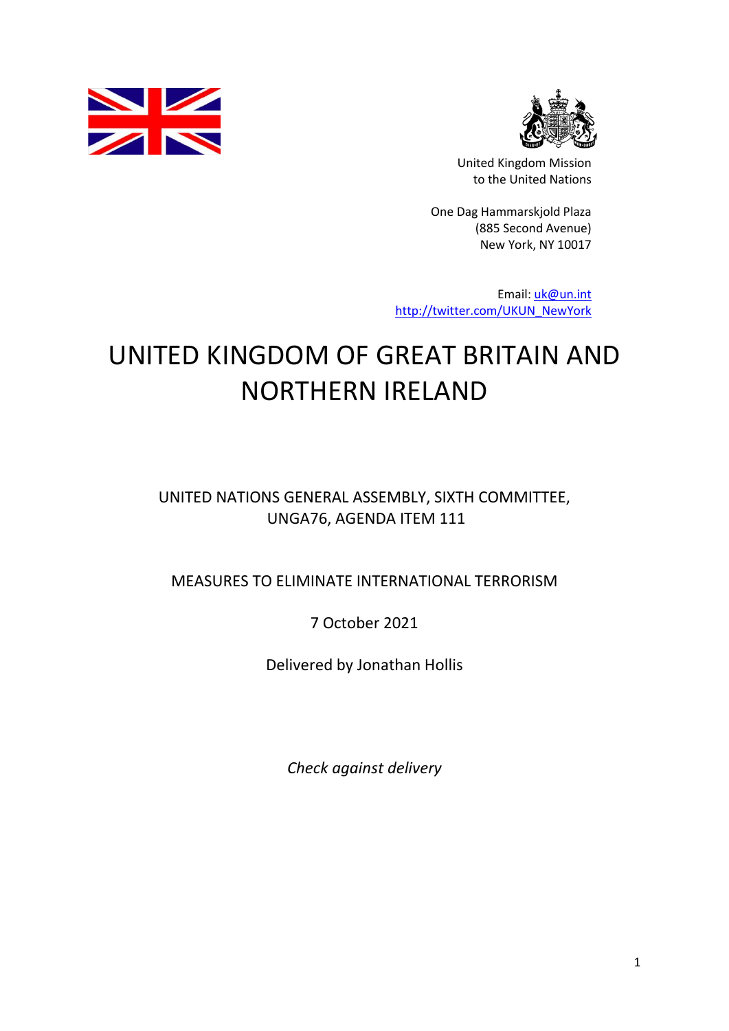



United Kingdom Mission to the United Nations

One Dag Hammarskjold Plaza (885 Second Avenue) New York, NY 10017

Email: [uk@un.int](mailto:uk@un.int) [http://twitter.com/UKUN\\_NewYork](http://twitter.com/UKUN_NewYork)

## UNITED KINGDOM OF GREAT BRITAIN AND NORTHERN IRELAND

UNITED NATIONS GENERAL ASSEMBLY, SIXTH COMMITTEE, UNGA76, AGENDA ITEM 111

MEASURES TO ELIMINATE INTERNATIONAL TERRORISM

7 October 2021

Delivered by Jonathan Hollis

*Check against delivery*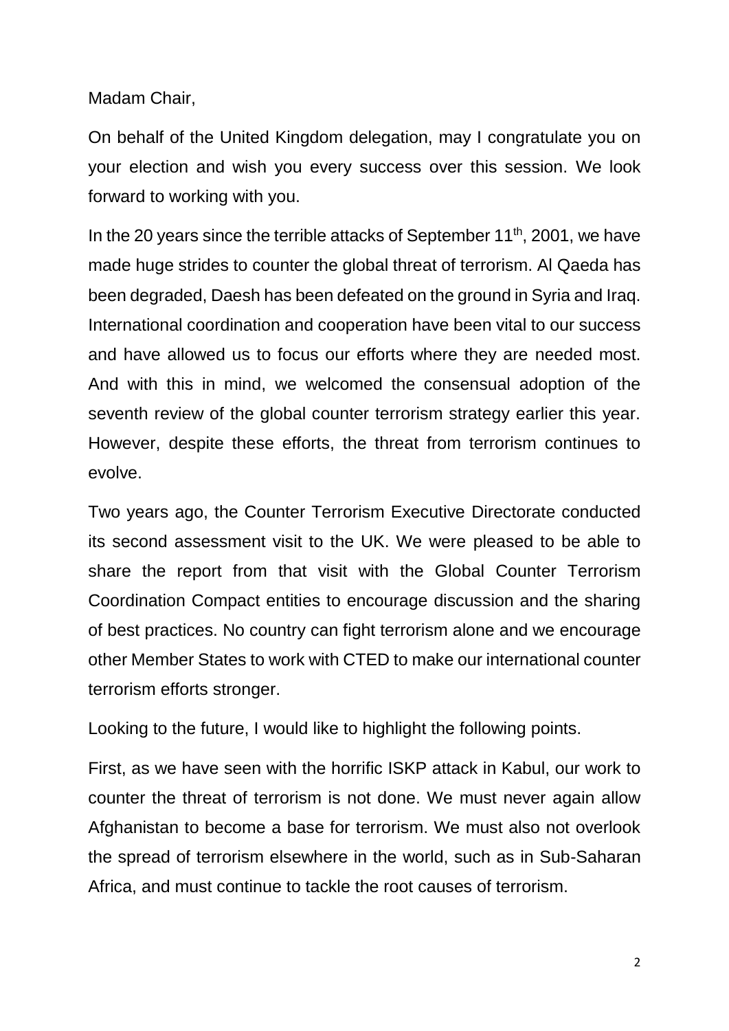Madam Chair,

On behalf of the United Kingdom delegation, may I congratulate you on your election and wish you every success over this session. We look forward to working with you.

In the 20 years since the terrible attacks of September  $11<sup>th</sup>$ , 2001, we have made huge strides to counter the global threat of terrorism. Al Qaeda has been degraded, Daesh has been defeated on the ground in Syria and Iraq. International coordination and cooperation have been vital to our success and have allowed us to focus our efforts where they are needed most. And with this in mind, we welcomed the consensual adoption of the seventh review of the global counter terrorism strategy earlier this year. However, despite these efforts, the threat from terrorism continues to evolve.

Two years ago, the Counter Terrorism Executive Directorate conducted its second assessment visit to the UK. We were pleased to be able to share the report from that visit with the Global Counter Terrorism Coordination Compact entities to encourage discussion and the sharing of best practices. No country can fight terrorism alone and we encourage other Member States to work with CTED to make our international counter terrorism efforts stronger.

Looking to the future, I would like to highlight the following points.

First, as we have seen with the horrific ISKP attack in Kabul, our work to counter the threat of terrorism is not done. We must never again allow Afghanistan to become a base for terrorism. We must also not overlook the spread of terrorism elsewhere in the world, such as in Sub-Saharan Africa, and must continue to tackle the root causes of terrorism.